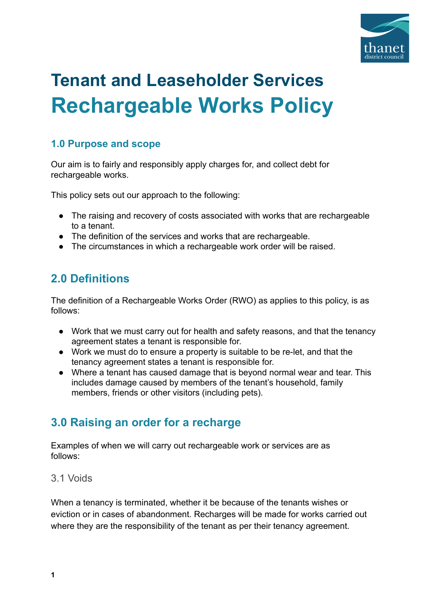

# **Tenant and Leaseholder Services Rechargeable Works Policy**

#### **1.0 Purpose and scope**

Our aim is to fairly and responsibly apply charges for, and collect debt for rechargeable works.

This policy sets out our approach to the following:

- The raising and recovery of costs associated with works that are rechargeable to a tenant.
- The definition of the services and works that are rechargeable.
- The circumstances in which a rechargeable work order will be raised.

# **2.0 Definitions**

The definition of a Rechargeable Works Order (RWO) as applies to this policy, is as follows:

- Work that we must carry out for health and safety reasons, and that the tenancy agreement states a tenant is responsible for.
- Work we must do to ensure a property is suitable to be re-let, and that the tenancy agreement states a tenant is responsible for.
- Where a tenant has caused damage that is beyond normal wear and tear. This includes damage caused by members of the tenant's household, family members, friends or other visitors (including pets).

## **3.0 Raising an order for a recharge**

Examples of when we will carry out rechargeable work or services are as follows:

#### 3.1 Voids

When a tenancy is terminated, whether it be because of the tenants wishes or eviction or in cases of abandonment. Recharges will be made for works carried out where they are the responsibility of the tenant as per their tenancy agreement.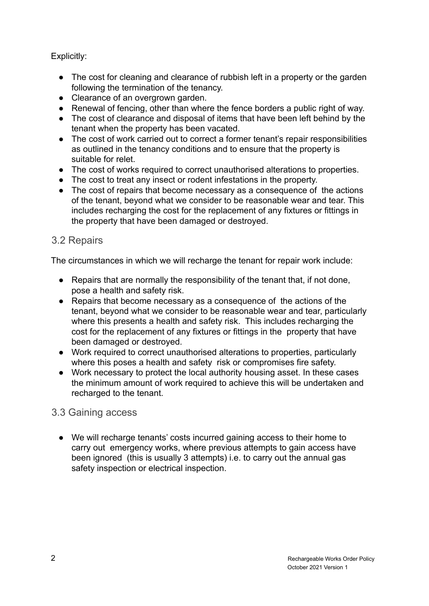#### Explicitly:

- The cost for cleaning and clearance of rubbish left in a property or the garden following the termination of the tenancy.
- Clearance of an overgrown garden.
- Renewal of fencing, other than where the fence borders a public right of way.
- The cost of clearance and disposal of items that have been left behind by the tenant when the property has been vacated.
- The cost of work carried out to correct a former tenant's repair responsibilities as outlined in the tenancy conditions and to ensure that the property is suitable for relet.
- The cost of works required to correct unauthorised alterations to properties.
- The cost to treat any insect or rodent infestations in the property.
- The cost of repairs that become necessary as a consequence of the actions of the tenant, beyond what we consider to be reasonable wear and tear. This includes recharging the cost for the replacement of any fixtures or fittings in the property that have been damaged or destroyed.

#### 3.2 Repairs

The circumstances in which we will recharge the tenant for repair work include:

- Repairs that are normally the responsibility of the tenant that, if not done, pose a health and safety risk.
- Repairs that become necessary as a consequence of the actions of the tenant, beyond what we consider to be reasonable wear and tear, particularly where this presents a health and safety risk. This includes recharging the cost for the replacement of any fixtures or fittings in the property that have been damaged or destroyed.
- Work required to correct unauthorised alterations to properties, particularly where this poses a health and safety risk or compromises fire safety.
- Work necessary to protect the local authority housing asset. In these cases the minimum amount of work required to achieve this will be undertaken and recharged to the tenant.

#### 3.3 Gaining access

● We will recharge tenants' costs incurred gaining access to their home to carry out emergency works, where previous attempts to gain access have been ignored (this is usually 3 attempts) i.e. to carry out the annual gas safety inspection or electrical inspection.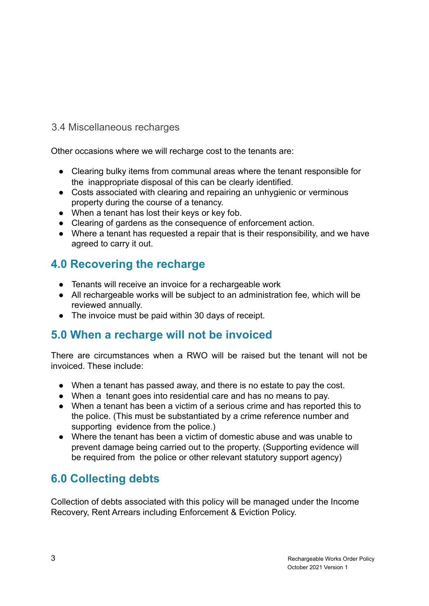#### 3.4 Miscellaneous recharges

Other occasions where we will recharge cost to the tenants are:

- Clearing bulky items from communal areas where the tenant responsible for the inappropriate disposal of this can be clearly identified.
- Costs associated with clearing and repairing an unhygienic or verminous property during the course of a tenancy.
- When a tenant has lost their keys or key fob.
- Clearing of gardens as the consequence of enforcement action.
- Where a tenant has requested a repair that is their responsibility, and we have agreed to carry it out.

### **4.0 Recovering the recharge**

- Tenants will receive an invoice for a rechargeable work
- All rechargeable works will be subject to an administration fee, which will be reviewed annually.
- The invoice must be paid within 30 days of receipt.

## **5.0 When a recharge will not be invoiced**

There are circumstances when a RWO will be raised but the tenant will not be invoiced. These include:

- When a tenant has passed away, and there is no estate to pay the cost.
- When a tenant goes into residential care and has no means to pay.
- When a tenant has been a victim of a serious crime and has reported this to the police. (This must be substantiated by a crime reference number and supporting evidence from the police.)
- Where the tenant has been a victim of domestic abuse and was unable to prevent damage being carried out to the property. (Supporting evidence will be required from the police or other relevant statutory support agency)

## **6.0 Collecting debts**

Collection of debts associated with this policy will be managed under the Income Recovery, Rent Arrears including Enforcement & Eviction Policy.